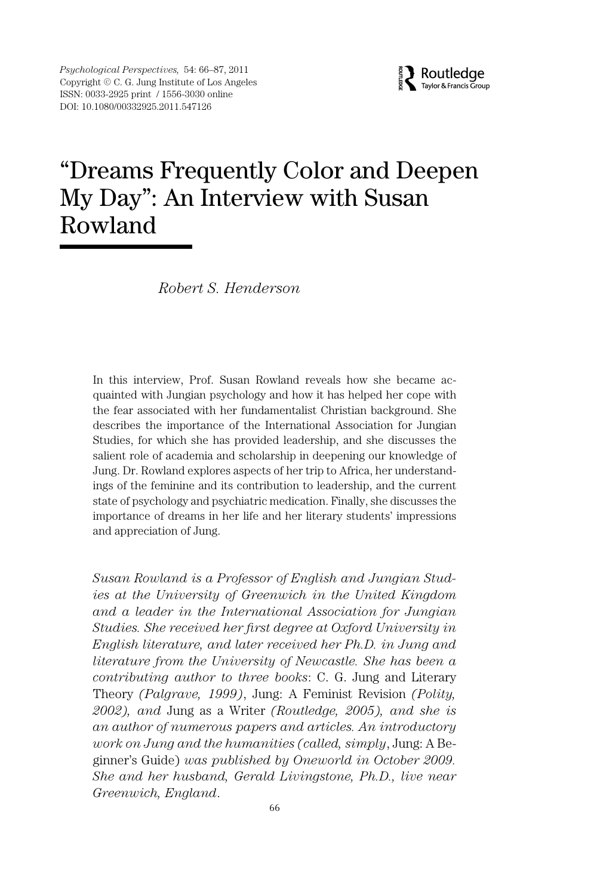*Psychological Perspectives,* 54: 66–87, 2011 Copyright  $\odot$  C. G. Jung Institute of Los Angeles ISSN: 0033-2925 print / 1556-3030 online DOI: 10.1080/00332925.2011.547126



## "Dreams Frequently Color and Deepen My Day": An Interview with Susan Rowland

*Robert S. Henderson*

In this interview, Prof. Susan Rowland reveals how she became acquainted with Jungian psychology and how it has helped her cope with the fear associated with her fundamentalist Christian background. She describes the importance of the International Association for Jungian Studies, for which she has provided leadership, and she discusses the salient role of academia and scholarship in deepening our knowledge of Jung. Dr. Rowland explores aspects of her trip to Africa, her understandings of the feminine and its contribution to leadership, and the current state of psychology and psychiatric medication. Finally, she discusses the importance of dreams in her life and her literary students' impressions and appreciation of Jung.

*Susan Rowland is a Professor of English and Jungian Studies at the University of Greenwich in the United Kingdom and a leader in the International Association for Jungian Studies. She received her first degree at Oxford University in English literature, and later received her Ph.D. in Jung and literature from the University of Newcastle. She has been a contributing author to three books*: C. G. Jung and Literary Theory *(Palgrave, 1999)*, Jung: A Feminist Revision *(Polity, 2002), and* Jung as a Writer *(Routledge, 2005), and she is an author of numerous papers and articles. An introductory work on Jung and the humanities (called, simply*, Jung: A Beginner's Guide) *was published by Oneworld in October 2009. She and her husband, Gerald Livingstone, Ph.D., live near Greenwich, England*.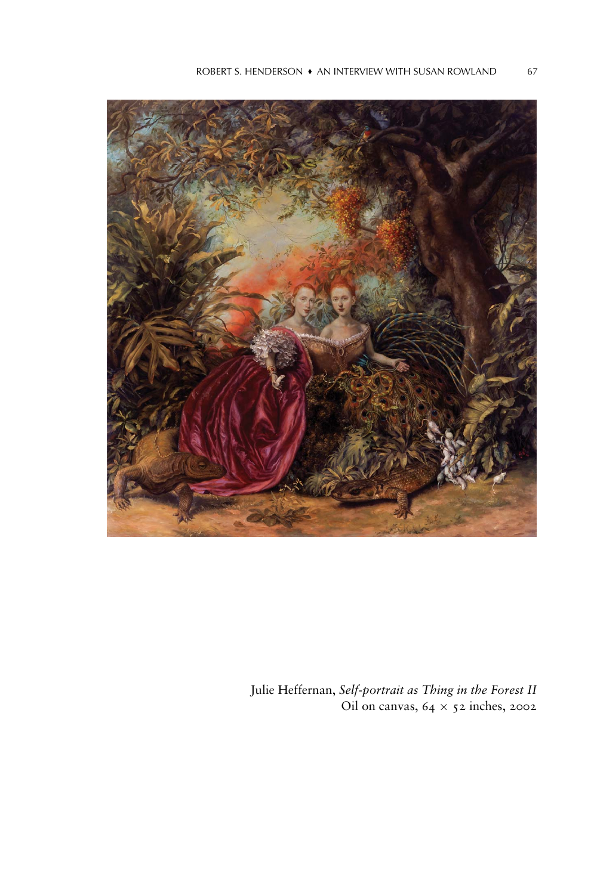

Julie Heffernan, *Self-portrait as Thing in the Forest II* Oil on canvas,  $64 \times 52$  inches, 2002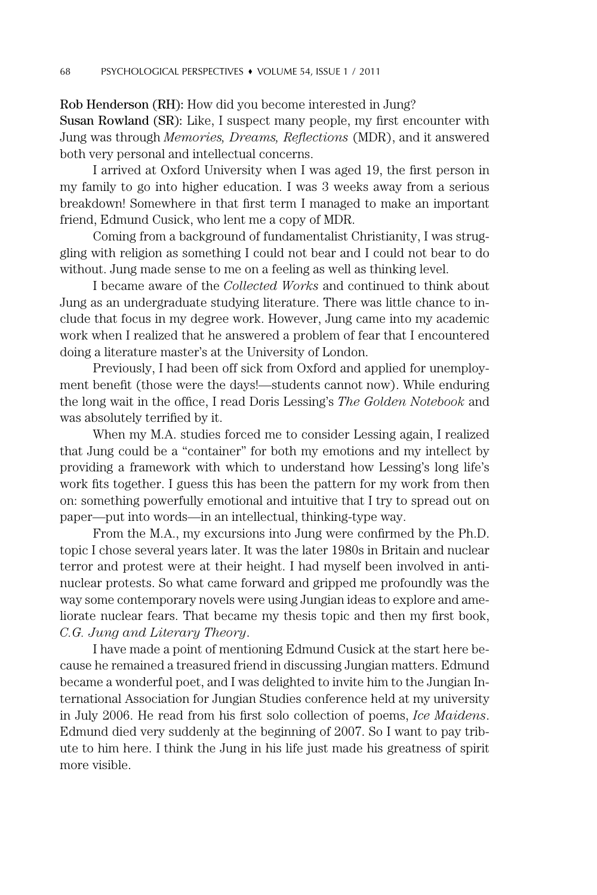Rob Henderson (RH): How did you become interested in Jung? Susan Rowland (SR): Like, I suspect many people, my first encounter with Jung was through *Memories, Dreams, Reflections* (MDR), and it answered both very personal and intellectual concerns.

I arrived at Oxford University when I was aged 19, the first person in my family to go into higher education. I was 3 weeks away from a serious breakdown! Somewhere in that first term I managed to make an important friend, Edmund Cusick, who lent me a copy of MDR.

Coming from a background of fundamentalist Christianity, I was struggling with religion as something I could not bear and I could not bear to do without. Jung made sense to me on a feeling as well as thinking level.

I became aware of the *Collected Works* and continued to think about Jung as an undergraduate studying literature. There was little chance to include that focus in my degree work. However, Jung came into my academic work when I realized that he answered a problem of fear that I encountered doing a literature master's at the University of London.

Previously, I had been off sick from Oxford and applied for unemployment benefit (those were the days!—students cannot now). While enduring the long wait in the office, I read Doris Lessing's *The Golden Notebook* and was absolutely terrified by it.

When my M.A. studies forced me to consider Lessing again, I realized that Jung could be a "container" for both my emotions and my intellect by providing a framework with which to understand how Lessing's long life's work fits together. I guess this has been the pattern for my work from then on: something powerfully emotional and intuitive that I try to spread out on paper—put into words—in an intellectual, thinking-type way.

From the M.A., my excursions into Jung were confirmed by the Ph.D. topic I chose several years later. It was the later 1980s in Britain and nuclear terror and protest were at their height. I had myself been involved in antinuclear protests. So what came forward and gripped me profoundly was the way some contemporary novels were using Jungian ideas to explore and ameliorate nuclear fears. That became my thesis topic and then my first book, *C.G. Jung and Literary Theory*.

I have made a point of mentioning Edmund Cusick at the start here because he remained a treasured friend in discussing Jungian matters. Edmund became a wonderful poet, and I was delighted to invite him to the Jungian International Association for Jungian Studies conference held at my university in July 2006. He read from his first solo collection of poems, *Ice Maidens*. Edmund died very suddenly at the beginning of 2007. So I want to pay tribute to him here. I think the Jung in his life just made his greatness of spirit more visible.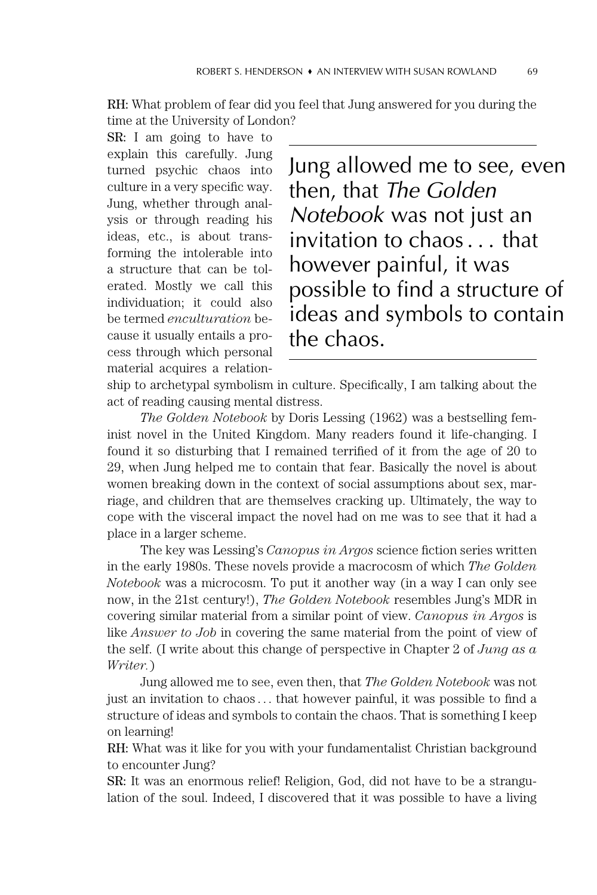RH: What problem of fear did you feel that Jung answered for you during the time at the University of London?

SR: I am going to have to explain this carefully. Jung turned psychic chaos into culture in a very specific way. Jung, whether through analysis or through reading his ideas, etc., is about transforming the intolerable into a structure that can be tolerated. Mostly we call this individuation; it could also be termed *enculturation* because it usually entails a process through which personal material acquires a relation-

Jung allowed me to see, even then, that *The Golden Notebook* was not just an invitation to chaos . . . that however painful, it was possible to find a structure of ideas and symbols to contain the chaos.

ship to archetypal symbolism in culture. Specifically, I am talking about the act of reading causing mental distress.

*The Golden Notebook* by Doris Lessing (1962) was a bestselling feminist novel in the United Kingdom. Many readers found it life-changing. I found it so disturbing that I remained terrified of it from the age of 20 to 29, when Jung helped me to contain that fear. Basically the novel is about women breaking down in the context of social assumptions about sex, marriage, and children that are themselves cracking up. Ultimately, the way to cope with the visceral impact the novel had on me was to see that it had a place in a larger scheme.

The key was Lessing's *Canopus in Argos* science fiction series written in the early 1980s. These novels provide a macrocosm of which *The Golden Notebook* was a microcosm. To put it another way (in a way I can only see now, in the 21st century!), *The Golden Notebook* resembles Jung's MDR in covering similar material from a similar point of view. *Canopus in Argos* is like *Answer to Job* in covering the same material from the point of view of the self. (I write about this change of perspective in Chapter 2 of *Jung as a Writer.*)

Jung allowed me to see, even then, that *The Golden Notebook* was not just an invitation to chaos . . . that however painful, it was possible to find a structure of ideas and symbols to contain the chaos. That is something I keep on learning!

RH: What was it like for you with your fundamentalist Christian background to encounter Jung?

SR: It was an enormous relief! Religion, God, did not have to be a strangulation of the soul. Indeed, I discovered that it was possible to have a living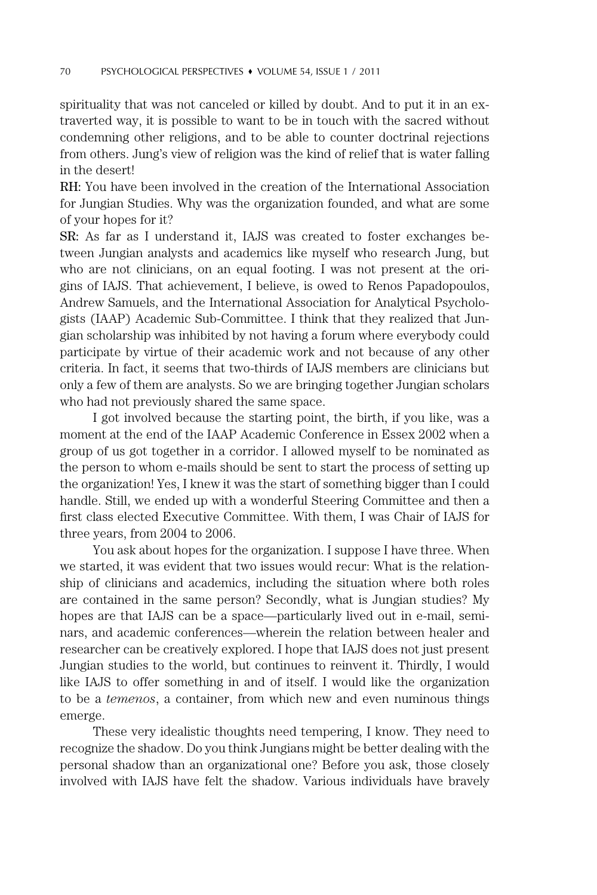spirituality that was not canceled or killed by doubt. And to put it in an extraverted way, it is possible to want to be in touch with the sacred without condemning other religions, and to be able to counter doctrinal rejections from others. Jung's view of religion was the kind of relief that is water falling in the desert!

RH: You have been involved in the creation of the International Association for Jungian Studies. Why was the organization founded, and what are some of your hopes for it?

SR: As far as I understand it, IAJS was created to foster exchanges between Jungian analysts and academics like myself who research Jung, but who are not clinicians, on an equal footing. I was not present at the origins of IAJS. That achievement, I believe, is owed to Renos Papadopoulos, Andrew Samuels, and the International Association for Analytical Psychologists (IAAP) Academic Sub-Committee. I think that they realized that Jungian scholarship was inhibited by not having a forum where everybody could participate by virtue of their academic work and not because of any other criteria. In fact, it seems that two-thirds of IAJS members are clinicians but only a few of them are analysts. So we are bringing together Jungian scholars who had not previously shared the same space.

I got involved because the starting point, the birth, if you like, was a moment at the end of the IAAP Academic Conference in Essex 2002 when a group of us got together in a corridor. I allowed myself to be nominated as the person to whom e-mails should be sent to start the process of setting up the organization! Yes, I knew it was the start of something bigger than I could handle. Still, we ended up with a wonderful Steering Committee and then a first class elected Executive Committee. With them, I was Chair of IAJS for three years, from 2004 to 2006.

You ask about hopes for the organization. I suppose I have three. When we started, it was evident that two issues would recur: What is the relationship of clinicians and academics, including the situation where both roles are contained in the same person? Secondly, what is Jungian studies? My hopes are that IAJS can be a space—particularly lived out in e-mail, seminars, and academic conferences—wherein the relation between healer and researcher can be creatively explored. I hope that IAJS does not just present Jungian studies to the world, but continues to reinvent it. Thirdly, I would like IAJS to offer something in and of itself. I would like the organization to be a *temenos*, a container, from which new and even numinous things emerge.

These very idealistic thoughts need tempering, I know. They need to recognize the shadow. Do you think Jungians might be better dealing with the personal shadow than an organizational one? Before you ask, those closely involved with IAJS have felt the shadow. Various individuals have bravely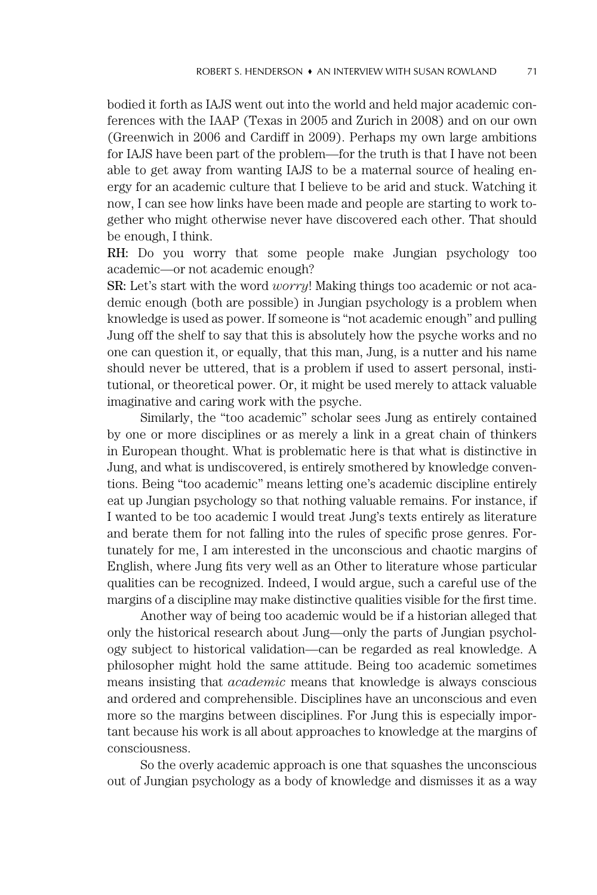bodied it forth as IAJS went out into the world and held major academic conferences with the IAAP (Texas in 2005 and Zurich in 2008) and on our own (Greenwich in 2006 and Cardiff in 2009). Perhaps my own large ambitions for IAJS have been part of the problem—for the truth is that I have not been able to get away from wanting IAJS to be a maternal source of healing energy for an academic culture that I believe to be arid and stuck. Watching it now, I can see how links have been made and people are starting to work together who might otherwise never have discovered each other. That should be enough, I think.

RH: Do you worry that some people make Jungian psychology too academic—or not academic enough?

SR: Let's start with the word *worry*! Making things too academic or not academic enough (both are possible) in Jungian psychology is a problem when knowledge is used as power. If someone is "not academic enough" and pulling Jung off the shelf to say that this is absolutely how the psyche works and no one can question it, or equally, that this man, Jung, is a nutter and his name should never be uttered, that is a problem if used to assert personal, institutional, or theoretical power. Or, it might be used merely to attack valuable imaginative and caring work with the psyche.

Similarly, the "too academic" scholar sees Jung as entirely contained by one or more disciplines or as merely a link in a great chain of thinkers in European thought. What is problematic here is that what is distinctive in Jung, and what is undiscovered, is entirely smothered by knowledge conventions. Being "too academic" means letting one's academic discipline entirely eat up Jungian psychology so that nothing valuable remains. For instance, if I wanted to be too academic I would treat Jung's texts entirely as literature and berate them for not falling into the rules of specific prose genres. Fortunately for me, I am interested in the unconscious and chaotic margins of English, where Jung fits very well as an Other to literature whose particular qualities can be recognized. Indeed, I would argue, such a careful use of the margins of a discipline may make distinctive qualities visible for the first time.

Another way of being too academic would be if a historian alleged that only the historical research about Jung—only the parts of Jungian psychology subject to historical validation—can be regarded as real knowledge. A philosopher might hold the same attitude. Being too academic sometimes means insisting that *academic* means that knowledge is always conscious and ordered and comprehensible. Disciplines have an unconscious and even more so the margins between disciplines. For Jung this is especially important because his work is all about approaches to knowledge at the margins of consciousness.

So the overly academic approach is one that squashes the unconscious out of Jungian psychology as a body of knowledge and dismisses it as a way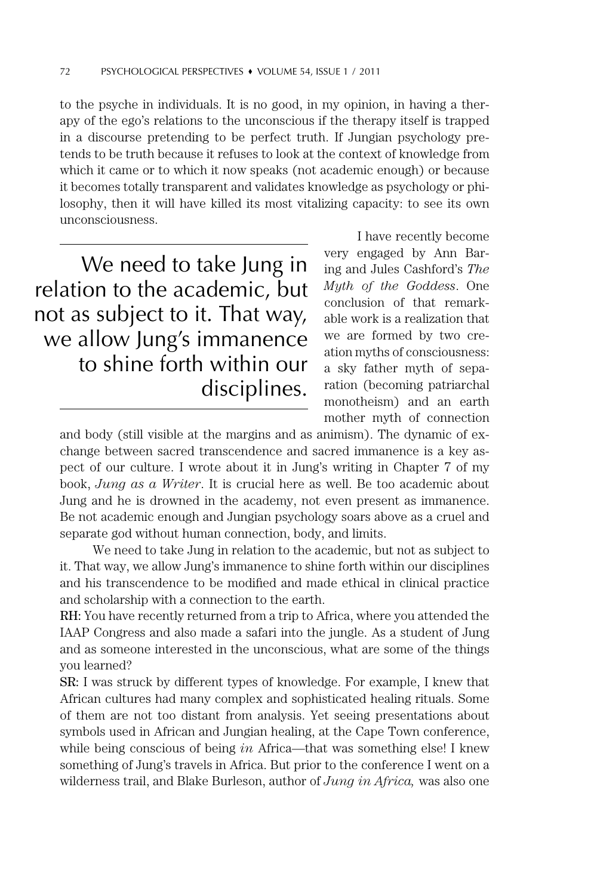to the psyche in individuals. It is no good, in my opinion, in having a therapy of the ego's relations to the unconscious if the therapy itself is trapped in a discourse pretending to be perfect truth. If Jungian psychology pretends to be truth because it refuses to look at the context of knowledge from which it came or to which it now speaks (not academic enough) or because it becomes totally transparent and validates knowledge as psychology or philosophy, then it will have killed its most vitalizing capacity: to see its own unconsciousness.

We need to take Jung in relation to the academic, but not as subject to it. That way, we allow Jung's immanence to shine forth within our disciplines.

I have recently become very engaged by Ann Baring and Jules Cashford's *The Myth of the Goddess*. One conclusion of that remarkable work is a realization that we are formed by two creation myths of consciousness: a sky father myth of separation (becoming patriarchal monotheism) and an earth mother myth of connection

and body (still visible at the margins and as animism). The dynamic of exchange between sacred transcendence and sacred immanence is a key aspect of our culture. I wrote about it in Jung's writing in Chapter 7 of my book, *Jung as a Writer*. It is crucial here as well. Be too academic about Jung and he is drowned in the academy, not even present as immanence. Be not academic enough and Jungian psychology soars above as a cruel and separate god without human connection, body, and limits.

We need to take Jung in relation to the academic, but not as subject to it. That way, we allow Jung's immanence to shine forth within our disciplines and his transcendence to be modified and made ethical in clinical practice and scholarship with a connection to the earth.

RH: You have recently returned from a trip to Africa, where you attended the IAAP Congress and also made a safari into the jungle. As a student of Jung and as someone interested in the unconscious, what are some of the things you learned?

SR: I was struck by different types of knowledge. For example, I knew that African cultures had many complex and sophisticated healing rituals. Some of them are not too distant from analysis. Yet seeing presentations about symbols used in African and Jungian healing, at the Cape Town conference, while being conscious of being *in* Africa—that was something else! I knew something of Jung's travels in Africa. But prior to the conference I went on a wilderness trail, and Blake Burleson, author of *Jung in Africa,* was also one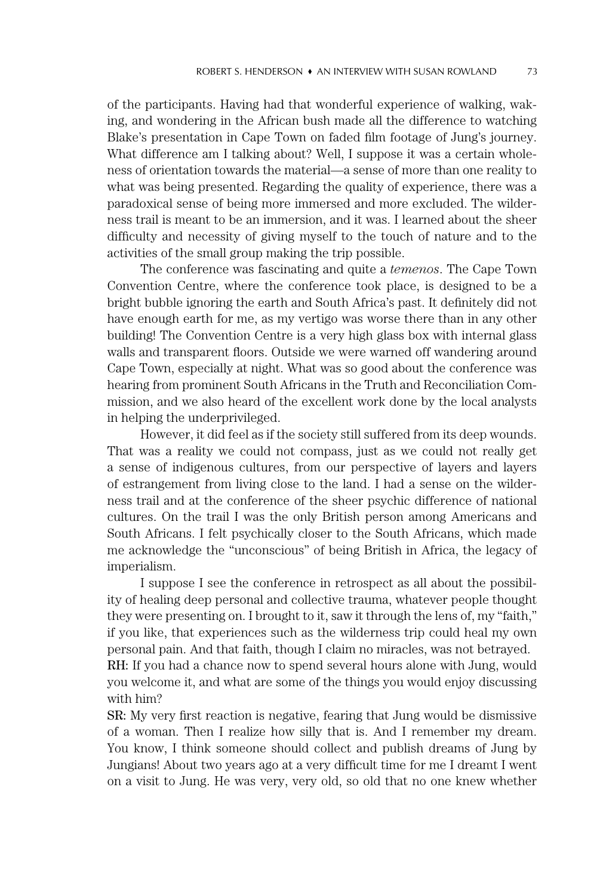of the participants. Having had that wonderful experience of walking, waking, and wondering in the African bush made all the difference to watching Blake's presentation in Cape Town on faded film footage of Jung's journey. What difference am I talking about? Well, I suppose it was a certain wholeness of orientation towards the material—a sense of more than one reality to what was being presented. Regarding the quality of experience, there was a paradoxical sense of being more immersed and more excluded. The wilderness trail is meant to be an immersion, and it was. I learned about the sheer difficulty and necessity of giving myself to the touch of nature and to the activities of the small group making the trip possible.

The conference was fascinating and quite a *temenos*. The Cape Town Convention Centre, where the conference took place, is designed to be a bright bubble ignoring the earth and South Africa's past. It definitely did not have enough earth for me, as my vertigo was worse there than in any other building! The Convention Centre is a very high glass box with internal glass walls and transparent floors. Outside we were warned off wandering around Cape Town, especially at night. What was so good about the conference was hearing from prominent South Africans in the Truth and Reconciliation Commission, and we also heard of the excellent work done by the local analysts in helping the underprivileged.

However, it did feel as if the society still suffered from its deep wounds. That was a reality we could not compass, just as we could not really get a sense of indigenous cultures, from our perspective of layers and layers of estrangement from living close to the land. I had a sense on the wilderness trail and at the conference of the sheer psychic difference of national cultures. On the trail I was the only British person among Americans and South Africans. I felt psychically closer to the South Africans, which made me acknowledge the "unconscious" of being British in Africa, the legacy of imperialism.

I suppose I see the conference in retrospect as all about the possibility of healing deep personal and collective trauma, whatever people thought they were presenting on. I brought to it, saw it through the lens of, my "faith," if you like, that experiences such as the wilderness trip could heal my own personal pain. And that faith, though I claim no miracles, was not betrayed. RH: If you had a chance now to spend several hours alone with Jung, would you welcome it, and what are some of the things you would enjoy discussing with him?

SR: My very first reaction is negative, fearing that Jung would be dismissive of a woman. Then I realize how silly that is. And I remember my dream. You know, I think someone should collect and publish dreams of Jung by Jungians! About two years ago at a very difficult time for me I dreamt I went on a visit to Jung. He was very, very old, so old that no one knew whether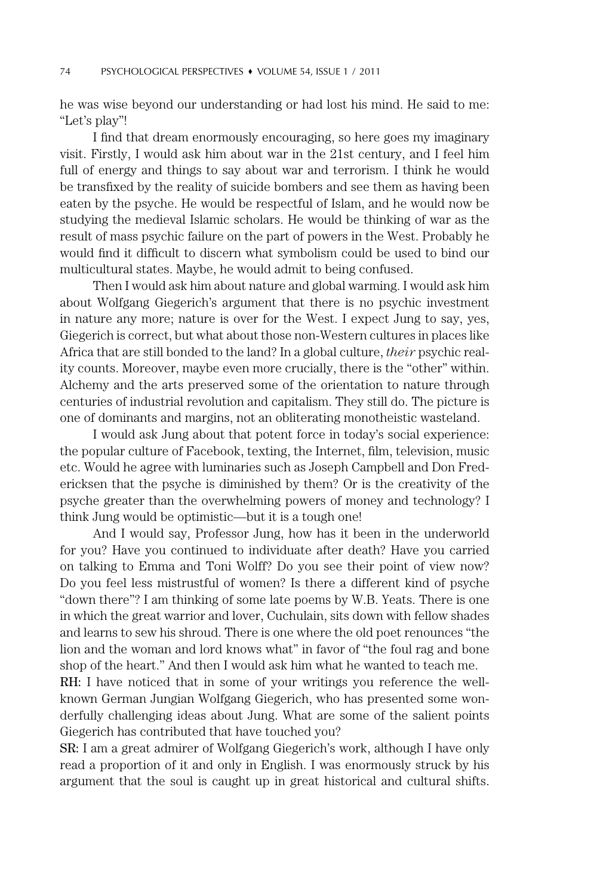he was wise beyond our understanding or had lost his mind. He said to me: "Let's play"!

I find that dream enormously encouraging, so here goes my imaginary visit. Firstly, I would ask him about war in the 21st century, and I feel him full of energy and things to say about war and terrorism. I think he would be transfixed by the reality of suicide bombers and see them as having been eaten by the psyche. He would be respectful of Islam, and he would now be studying the medieval Islamic scholars. He would be thinking of war as the result of mass psychic failure on the part of powers in the West. Probably he would find it difficult to discern what symbolism could be used to bind our multicultural states. Maybe, he would admit to being confused.

Then I would ask him about nature and global warming. I would ask him about Wolfgang Giegerich's argument that there is no psychic investment in nature any more; nature is over for the West. I expect Jung to say, yes, Giegerich is correct, but what about those non-Western cultures in places like Africa that are still bonded to the land? In a global culture, *their* psychic reality counts. Moreover, maybe even more crucially, there is the "other" within. Alchemy and the arts preserved some of the orientation to nature through centuries of industrial revolution and capitalism. They still do. The picture is one of dominants and margins, not an obliterating monotheistic wasteland.

I would ask Jung about that potent force in today's social experience: the popular culture of Facebook, texting, the Internet, film, television, music etc. Would he agree with luminaries such as Joseph Campbell and Don Fredericksen that the psyche is diminished by them? Or is the creativity of the psyche greater than the overwhelming powers of money and technology? I think Jung would be optimistic—but it is a tough one!

And I would say, Professor Jung, how has it been in the underworld for you? Have you continued to individuate after death? Have you carried on talking to Emma and Toni Wolff? Do you see their point of view now? Do you feel less mistrustful of women? Is there a different kind of psyche "down there"? I am thinking of some late poems by W.B. Yeats. There is one in which the great warrior and lover, Cuchulain, sits down with fellow shades and learns to sew his shroud. There is one where the old poet renounces "the lion and the woman and lord knows what" in favor of "the foul rag and bone shop of the heart." And then I would ask him what he wanted to teach me.

RH: I have noticed that in some of your writings you reference the wellknown German Jungian Wolfgang Giegerich, who has presented some wonderfully challenging ideas about Jung. What are some of the salient points Giegerich has contributed that have touched you?

SR: I am a great admirer of Wolfgang Giegerich's work, although I have only read a proportion of it and only in English. I was enormously struck by his argument that the soul is caught up in great historical and cultural shifts.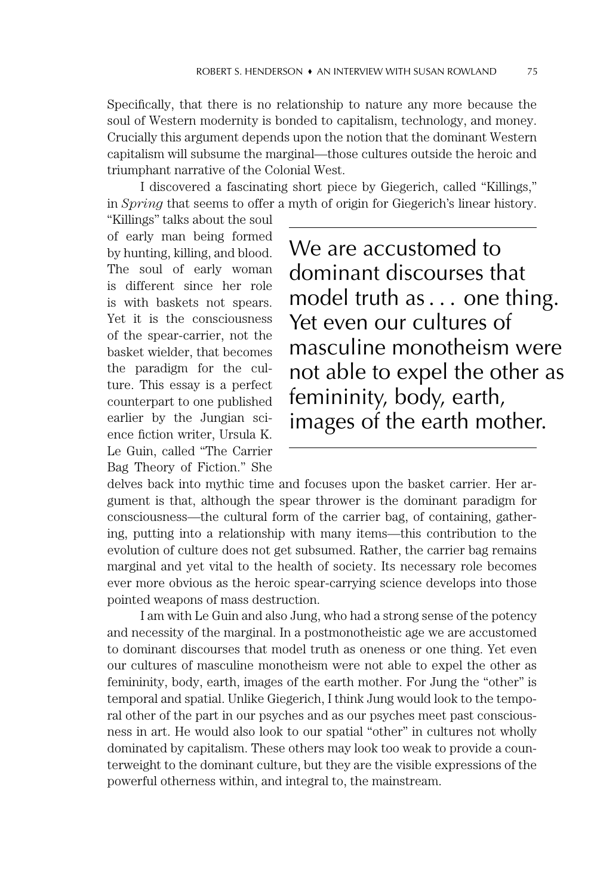Specifically, that there is no relationship to nature any more because the soul of Western modernity is bonded to capitalism, technology, and money. Crucially this argument depends upon the notion that the dominant Western capitalism will subsume the marginal—those cultures outside the heroic and triumphant narrative of the Colonial West.

I discovered a fascinating short piece by Giegerich, called "Killings," in *Spring* that seems to offer a myth of origin for Giegerich's linear history.

"Killings" talks about the soul of early man being formed by hunting, killing, and blood. The soul of early woman is different since her role is with baskets not spears. Yet it is the consciousness of the spear-carrier, not the basket wielder, that becomes the paradigm for the culture. This essay is a perfect counterpart to one published earlier by the Jungian science fiction writer, Ursula K. Le Guin, called "The Carrier Bag Theory of Fiction." She

We are accustomed to dominant discourses that model truth as . . . one thing. Yet even our cultures of masculine monotheism were not able to expel the other as femininity, body, earth, images of the earth mother.

delves back into mythic time and focuses upon the basket carrier. Her argument is that, although the spear thrower is the dominant paradigm for consciousness—the cultural form of the carrier bag, of containing, gathering, putting into a relationship with many items—this contribution to the evolution of culture does not get subsumed. Rather, the carrier bag remains marginal and yet vital to the health of society. Its necessary role becomes ever more obvious as the heroic spear-carrying science develops into those pointed weapons of mass destruction.

I am with Le Guin and also Jung, who had a strong sense of the potency and necessity of the marginal. In a postmonotheistic age we are accustomed to dominant discourses that model truth as oneness or one thing. Yet even our cultures of masculine monotheism were not able to expel the other as femininity, body, earth, images of the earth mother. For Jung the "other" is temporal and spatial. Unlike Giegerich, I think Jung would look to the temporal other of the part in our psyches and as our psyches meet past consciousness in art. He would also look to our spatial "other" in cultures not wholly dominated by capitalism. These others may look too weak to provide a counterweight to the dominant culture, but they are the visible expressions of the powerful otherness within, and integral to, the mainstream.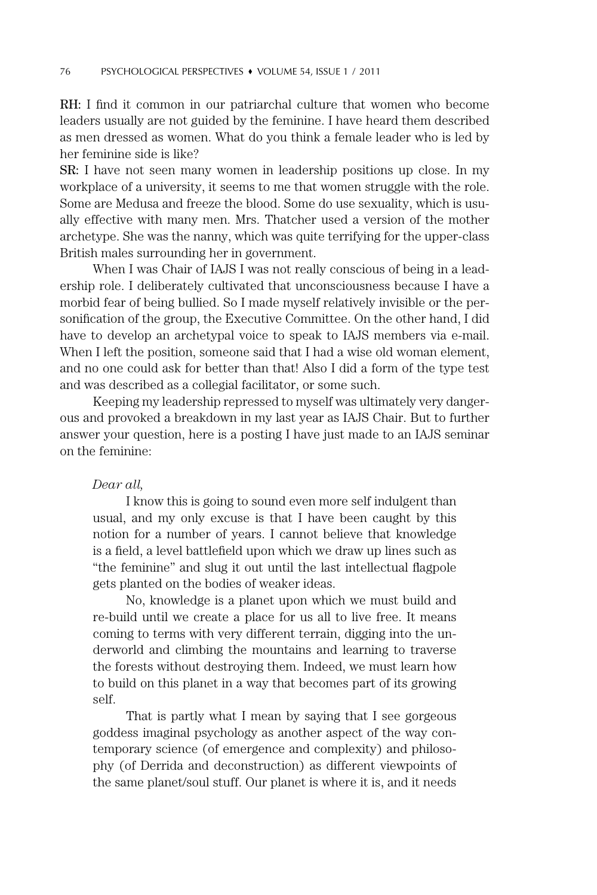RH: I find it common in our patriarchal culture that women who become leaders usually are not guided by the feminine. I have heard them described as men dressed as women. What do you think a female leader who is led by her feminine side is like?

SR: I have not seen many women in leadership positions up close. In my workplace of a university, it seems to me that women struggle with the role. Some are Medusa and freeze the blood. Some do use sexuality, which is usually effective with many men. Mrs. Thatcher used a version of the mother archetype. She was the nanny, which was quite terrifying for the upper-class British males surrounding her in government.

When I was Chair of IAJS I was not really conscious of being in a leadership role. I deliberately cultivated that unconsciousness because I have a morbid fear of being bullied. So I made myself relatively invisible or the personification of the group, the Executive Committee. On the other hand, I did have to develop an archetypal voice to speak to IAJS members via e-mail. When I left the position, someone said that I had a wise old woman element, and no one could ask for better than that! Also I did a form of the type test and was described as a collegial facilitator, or some such.

Keeping my leadership repressed to myself was ultimately very dangerous and provoked a breakdown in my last year as IAJS Chair. But to further answer your question, here is a posting I have just made to an IAJS seminar on the feminine:

## *Dear all,*

I know this is going to sound even more self indulgent than usual, and my only excuse is that I have been caught by this notion for a number of years. I cannot believe that knowledge is a field, a level battlefield upon which we draw up lines such as "the feminine" and slug it out until the last intellectual flagpole gets planted on the bodies of weaker ideas.

No, knowledge is a planet upon which we must build and re-build until we create a place for us all to live free. It means coming to terms with very different terrain, digging into the underworld and climbing the mountains and learning to traverse the forests without destroying them. Indeed, we must learn how to build on this planet in a way that becomes part of its growing self.

That is partly what I mean by saying that I see gorgeous goddess imaginal psychology as another aspect of the way contemporary science (of emergence and complexity) and philosophy (of Derrida and deconstruction) as different viewpoints of the same planet/soul stuff. Our planet is where it is, and it needs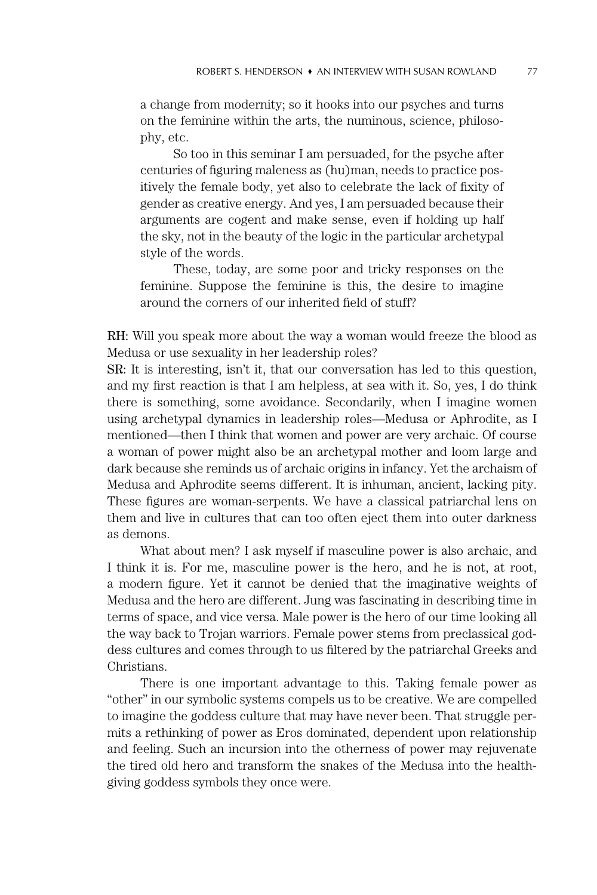a change from modernity; so it hooks into our psyches and turns on the feminine within the arts, the numinous, science, philosophy, etc.

So too in this seminar I am persuaded, for the psyche after centuries of figuring maleness as (hu)man, needs to practice positively the female body, yet also to celebrate the lack of fixity of gender as creative energy. And yes, I am persuaded because their arguments are cogent and make sense, even if holding up half the sky, not in the beauty of the logic in the particular archetypal style of the words.

These, today, are some poor and tricky responses on the feminine. Suppose the feminine is this, the desire to imagine around the corners of our inherited field of stuff?

RH: Will you speak more about the way a woman would freeze the blood as Medusa or use sexuality in her leadership roles?

SR: It is interesting, isn't it, that our conversation has led to this question, and my first reaction is that I am helpless, at sea with it. So, yes, I do think there is something, some avoidance. Secondarily, when I imagine women using archetypal dynamics in leadership roles—Medusa or Aphrodite, as I mentioned—then I think that women and power are very archaic. Of course a woman of power might also be an archetypal mother and loom large and dark because she reminds us of archaic origins in infancy. Yet the archaism of Medusa and Aphrodite seems different. It is inhuman, ancient, lacking pity. These figures are woman-serpents. We have a classical patriarchal lens on them and live in cultures that can too often eject them into outer darkness as demons.

What about men? I ask myself if masculine power is also archaic, and I think it is. For me, masculine power is the hero, and he is not, at root, a modern figure. Yet it cannot be denied that the imaginative weights of Medusa and the hero are different. Jung was fascinating in describing time in terms of space, and vice versa. Male power is the hero of our time looking all the way back to Trojan warriors. Female power stems from preclassical goddess cultures and comes through to us filtered by the patriarchal Greeks and Christians.

There is one important advantage to this. Taking female power as "other" in our symbolic systems compels us to be creative. We are compelled to imagine the goddess culture that may have never been. That struggle permits a rethinking of power as Eros dominated, dependent upon relationship and feeling. Such an incursion into the otherness of power may rejuvenate the tired old hero and transform the snakes of the Medusa into the healthgiving goddess symbols they once were.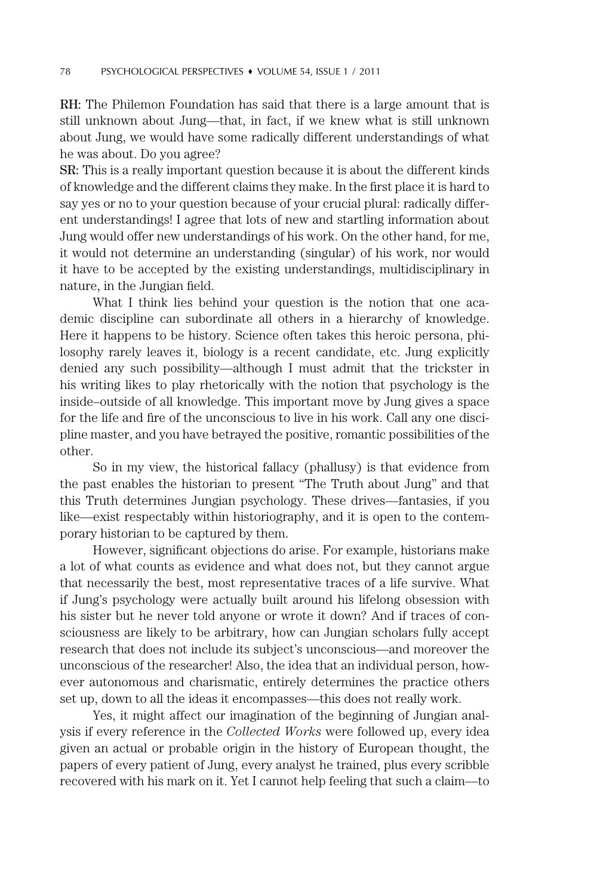RH: The Philemon Foundation has said that there is a large amount that is still unknown about Jung—that, in fact, if we knew what is still unknown about Jung, we would have some radically different understandings of what he was about. Do you agree?

SR: This is a really important question because it is about the different kinds of knowledge and the different claims they make. In the first place it is hard to say yes or no to your question because of your crucial plural: radically different understandings! I agree that lots of new and startling information about Jung would offer new understandings of his work. On the other hand, for me, it would not determine an understanding (singular) of his work, nor would it have to be accepted by the existing understandings, multidisciplinary in nature, in the Jungian field.

What I think lies behind your question is the notion that one academic discipline can subordinate all others in a hierarchy of knowledge. Here it happens to be history. Science often takes this heroic persona, philosophy rarely leaves it, biology is a recent candidate, etc. Jung explicitly denied any such possibility—although I must admit that the trickster in his writing likes to play rhetorically with the notion that psychology is the inside–outside of all knowledge. This important move by Jung gives a space for the life and fire of the unconscious to live in his work. Call any one discipline master, and you have betrayed the positive, romantic possibilities of the other.

So in my view, the historical fallacy (phallusy) is that evidence from the past enables the historian to present "The Truth about Jung" and that this Truth determines Jungian psychology. These drives—fantasies, if you like—exist respectably within historiography, and it is open to the contemporary historian to be captured by them.

However, significant objections do arise. For example, historians make a lot of what counts as evidence and what does not, but they cannot argue that necessarily the best, most representative traces of a life survive. What if Jung's psychology were actually built around his lifelong obsession with his sister but he never told anyone or wrote it down? And if traces of consciousness are likely to be arbitrary, how can Jungian scholars fully accept research that does not include its subject's unconscious—and moreover the unconscious of the researcher! Also, the idea that an individual person, however autonomous and charismatic, entirely determines the practice others set up, down to all the ideas it encompasses—this does not really work.

Yes, it might affect our imagination of the beginning of Jungian analysis if every reference in the *Collected Works* were followed up, every idea given an actual or probable origin in the history of European thought, the papers of every patient of Jung, every analyst he trained, plus every scribble recovered with his mark on it. Yet I cannot help feeling that such a claim—to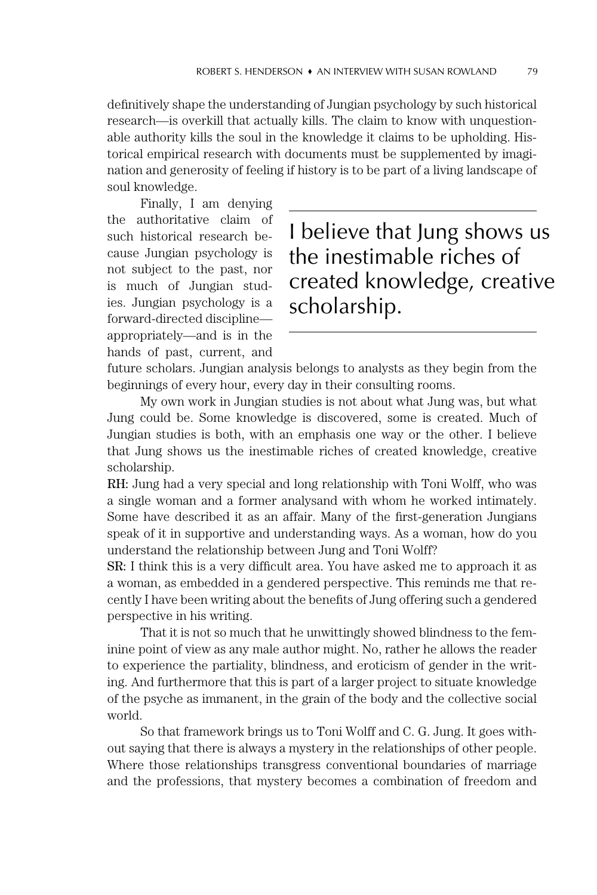definitively shape the understanding of Jungian psychology by such historical research—is overkill that actually kills. The claim to know with unquestionable authority kills the soul in the knowledge it claims to be upholding. Historical empirical research with documents must be supplemented by imagination and generosity of feeling if history is to be part of a living landscape of soul knowledge.

Finally, I am denying the authoritative claim of such historical research because Jungian psychology is not subject to the past, nor is much of Jungian studies. Jungian psychology is a forward-directed discipline appropriately—and is in the hands of past, current, and

I believe that Jung shows us the inestimable riches of created knowledge, creative scholarship.

future scholars. Jungian analysis belongs to analysts as they begin from the beginnings of every hour, every day in their consulting rooms.

My own work in Jungian studies is not about what Jung was, but what Jung could be. Some knowledge is discovered, some is created. Much of Jungian studies is both, with an emphasis one way or the other. I believe that Jung shows us the inestimable riches of created knowledge, creative scholarship.

RH: Jung had a very special and long relationship with Toni Wolff, who was a single woman and a former analysand with whom he worked intimately. Some have described it as an affair. Many of the first-generation Jungians speak of it in supportive and understanding ways. As a woman, how do you understand the relationship between Jung and Toni Wolff?

SR: I think this is a very difficult area. You have asked me to approach it as a woman, as embedded in a gendered perspective. This reminds me that recently I have been writing about the benefits of Jung offering such a gendered perspective in his writing.

That it is not so much that he unwittingly showed blindness to the feminine point of view as any male author might. No, rather he allows the reader to experience the partiality, blindness, and eroticism of gender in the writing. And furthermore that this is part of a larger project to situate knowledge of the psyche as immanent, in the grain of the body and the collective social world.

So that framework brings us to Toni Wolff and C. G. Jung. It goes without saying that there is always a mystery in the relationships of other people. Where those relationships transgress conventional boundaries of marriage and the professions, that mystery becomes a combination of freedom and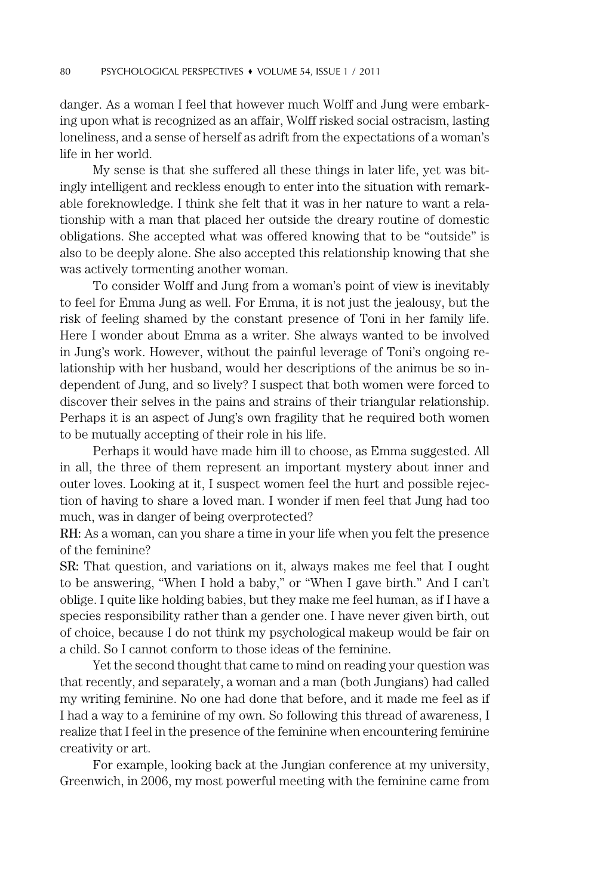danger. As a woman I feel that however much Wolff and Jung were embarking upon what is recognized as an affair, Wolff risked social ostracism, lasting loneliness, and a sense of herself as adrift from the expectations of a woman's life in her world.

My sense is that she suffered all these things in later life, yet was bitingly intelligent and reckless enough to enter into the situation with remarkable foreknowledge. I think she felt that it was in her nature to want a relationship with a man that placed her outside the dreary routine of domestic obligations. She accepted what was offered knowing that to be "outside" is also to be deeply alone. She also accepted this relationship knowing that she was actively tormenting another woman.

To consider Wolff and Jung from a woman's point of view is inevitably to feel for Emma Jung as well. For Emma, it is not just the jealousy, but the risk of feeling shamed by the constant presence of Toni in her family life. Here I wonder about Emma as a writer. She always wanted to be involved in Jung's work. However, without the painful leverage of Toni's ongoing relationship with her husband, would her descriptions of the animus be so independent of Jung, and so lively? I suspect that both women were forced to discover their selves in the pains and strains of their triangular relationship. Perhaps it is an aspect of Jung's own fragility that he required both women to be mutually accepting of their role in his life.

Perhaps it would have made him ill to choose, as Emma suggested. All in all, the three of them represent an important mystery about inner and outer loves. Looking at it, I suspect women feel the hurt and possible rejection of having to share a loved man. I wonder if men feel that Jung had too much, was in danger of being overprotected?

RH: As a woman, can you share a time in your life when you felt the presence of the feminine?

SR: That question, and variations on it, always makes me feel that I ought to be answering, "When I hold a baby," or "When I gave birth." And I can't oblige. I quite like holding babies, but they make me feel human, as if I have a species responsibility rather than a gender one. I have never given birth, out of choice, because I do not think my psychological makeup would be fair on a child. So I cannot conform to those ideas of the feminine.

Yet the second thought that came to mind on reading your question was that recently, and separately, a woman and a man (both Jungians) had called my writing feminine. No one had done that before, and it made me feel as if I had a way to a feminine of my own. So following this thread of awareness, I realize that I feel in the presence of the feminine when encountering feminine creativity or art.

For example, looking back at the Jungian conference at my university, Greenwich, in 2006, my most powerful meeting with the feminine came from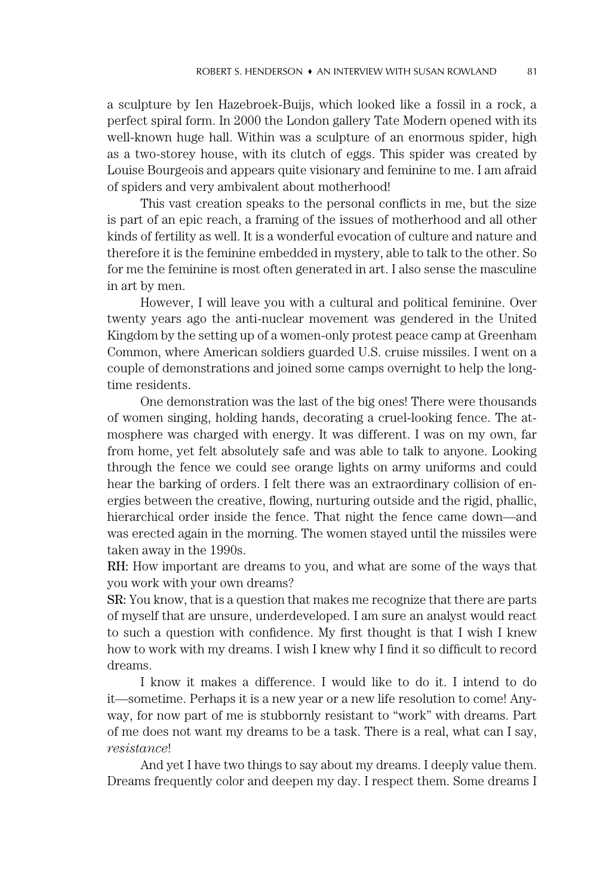a sculpture by Ien Hazebroek-Buijs, which looked like a fossil in a rock, a perfect spiral form. In 2000 the London gallery Tate Modern opened with its well-known huge hall. Within was a sculpture of an enormous spider, high as a two-storey house, with its clutch of eggs. This spider was created by Louise Bourgeois and appears quite visionary and feminine to me. I am afraid of spiders and very ambivalent about motherhood!

This vast creation speaks to the personal conflicts in me, but the size is part of an epic reach, a framing of the issues of motherhood and all other kinds of fertility as well. It is a wonderful evocation of culture and nature and therefore it is the feminine embedded in mystery, able to talk to the other. So for me the feminine is most often generated in art. I also sense the masculine in art by men.

However, I will leave you with a cultural and political feminine. Over twenty years ago the anti-nuclear movement was gendered in the United Kingdom by the setting up of a women-only protest peace camp at Greenham Common, where American soldiers guarded U.S. cruise missiles. I went on a couple of demonstrations and joined some camps overnight to help the longtime residents.

One demonstration was the last of the big ones! There were thousands of women singing, holding hands, decorating a cruel-looking fence. The atmosphere was charged with energy. It was different. I was on my own, far from home, yet felt absolutely safe and was able to talk to anyone. Looking through the fence we could see orange lights on army uniforms and could hear the barking of orders. I felt there was an extraordinary collision of energies between the creative, flowing, nurturing outside and the rigid, phallic, hierarchical order inside the fence. That night the fence came down—and was erected again in the morning. The women stayed until the missiles were taken away in the 1990s.

RH: How important are dreams to you, and what are some of the ways that you work with your own dreams?

SR: You know, that is a question that makes me recognize that there are parts of myself that are unsure, underdeveloped. I am sure an analyst would react to such a question with confidence. My first thought is that I wish I knew how to work with my dreams. I wish I knew why I find it so difficult to record dreams.

I know it makes a difference. I would like to do it. I intend to do it—sometime. Perhaps it is a new year or a new life resolution to come! Anyway, for now part of me is stubbornly resistant to "work" with dreams. Part of me does not want my dreams to be a task. There is a real, what can I say, *resistance*!

And yet I have two things to say about my dreams. I deeply value them. Dreams frequently color and deepen my day. I respect them. Some dreams I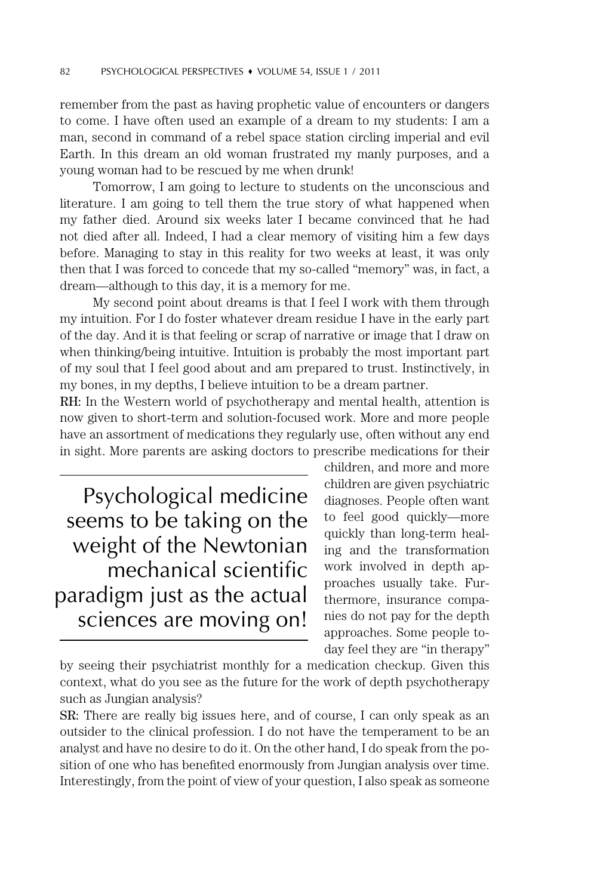remember from the past as having prophetic value of encounters or dangers to come. I have often used an example of a dream to my students: I am a man, second in command of a rebel space station circling imperial and evil Earth. In this dream an old woman frustrated my manly purposes, and a young woman had to be rescued by me when drunk!

Tomorrow, I am going to lecture to students on the unconscious and literature. I am going to tell them the true story of what happened when my father died. Around six weeks later I became convinced that he had not died after all. Indeed, I had a clear memory of visiting him a few days before. Managing to stay in this reality for two weeks at least, it was only then that I was forced to concede that my so-called "memory" was, in fact, a dream—although to this day, it is a memory for me.

My second point about dreams is that I feel I work with them through my intuition. For I do foster whatever dream residue I have in the early part of the day. And it is that feeling or scrap of narrative or image that I draw on when thinking/being intuitive. Intuition is probably the most important part of my soul that I feel good about and am prepared to trust. Instinctively, in my bones, in my depths, I believe intuition to be a dream partner.

RH: In the Western world of psychotherapy and mental health, attention is now given to short-term and solution-focused work. More and more people have an assortment of medications they regularly use, often without any end in sight. More parents are asking doctors to prescribe medications for their

Psychological medicine seems to be taking on the weight of the Newtonian mechanical scientific paradigm just as the actual sciences are moving on!

children, and more and more children are given psychiatric diagnoses. People often want to feel good quickly—more quickly than long-term healing and the transformation work involved in depth approaches usually take. Furthermore, insurance companies do not pay for the depth approaches. Some people today feel they are "in therapy"

by seeing their psychiatrist monthly for a medication checkup. Given this context, what do you see as the future for the work of depth psychotherapy such as Jungian analysis?

SR: There are really big issues here, and of course, I can only speak as an outsider to the clinical profession. I do not have the temperament to be an analyst and have no desire to do it. On the other hand, I do speak from the position of one who has benefited enormously from Jungian analysis over time. Interestingly, from the point of view of your question, I also speak as someone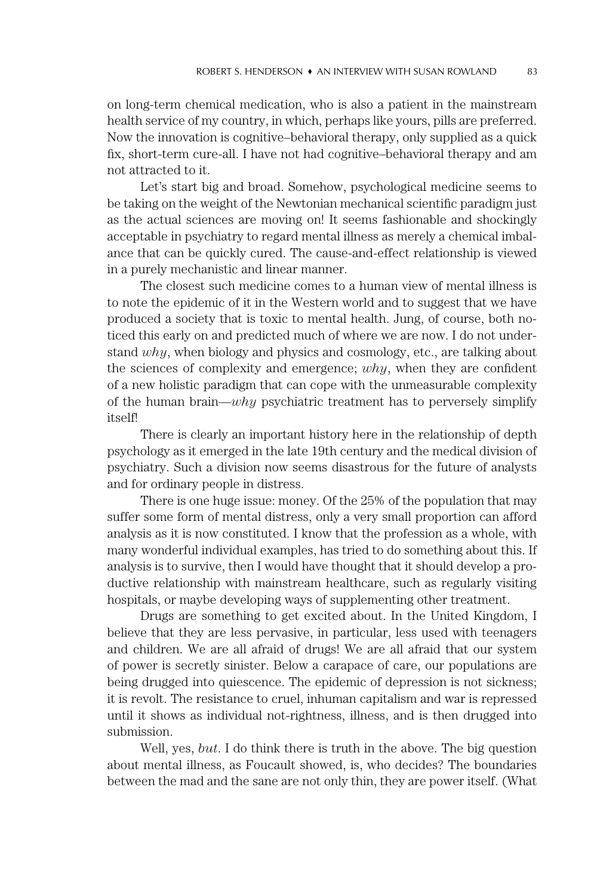on long-term chemical medication, who is also a patient in the mainstream health service of my country, in which, perhaps like yours, pills are preferred. Now the innovation is cognitive–behavioral therapy, only supplied as a quick fix, short-term cure-all. I have not had cognitive–behavioral therapy and am not attracted to it.

Let's start big and broad. Somehow, psychological medicine seems to be taking on the weight of the Newtonian mechanical scientific paradigm just as the actual sciences are moving on! It seems fashionable and shockingly acceptable in psychiatry to regard mental illness as merely a chemical imbalance that can be quickly cured. The cause-and-effect relationship is viewed in a purely mechanistic and linear manner.

The closest such medicine comes to a human view of mental illness is to note the epidemic of it in the Western world and to suggest that we have produced a society that is toxic to mental health. Jung, of course, both noticed this early on and predicted much of where we are now. I do not understand *why*, when biology and physics and cosmology, etc., are talking about the sciences of complexity and emergence; *why*, when they are confident of a new holistic paradigm that can cope with the unmeasurable complexity of the human brain—*why* psychiatric treatment has to perversely simplify itself!

There is clearly an important history here in the relationship of depth psychology as it emerged in the late 19th century and the medical division of psychiatry. Such a division now seems disastrous for the future of analysts and for ordinary people in distress.

There is one huge issue: money. Of the 25% of the population that may suffer some form of mental distress, only a very small proportion can afford analysis as it is now constituted. I know that the profession as a whole, with many wonderful individual examples, has tried to do something about this. If analysis is to survive, then I would have thought that it should develop a productive relationship with mainstream healthcare, such as regularly visiting hospitals, or maybe developing ways of supplementing other treatment.

Drugs are something to get excited about. In the United Kingdom, I believe that they are less pervasive, in particular, less used with teenagers and children. We are all afraid of drugs! We are all afraid that our system of power is secretly sinister. Below a carapace of care, our populations are being drugged into quiescence. The epidemic of depression is not sickness; it is revolt. The resistance to cruel, inhuman capitalism and war is repressed until it shows as individual not-rightness, illness, and is then drugged into submission.

Well, yes, *but*. I do think there is truth in the above. The big question about mental illness, as Foucault showed, is, who decides? The boundaries between the mad and the sane are not only thin, they are power itself. (What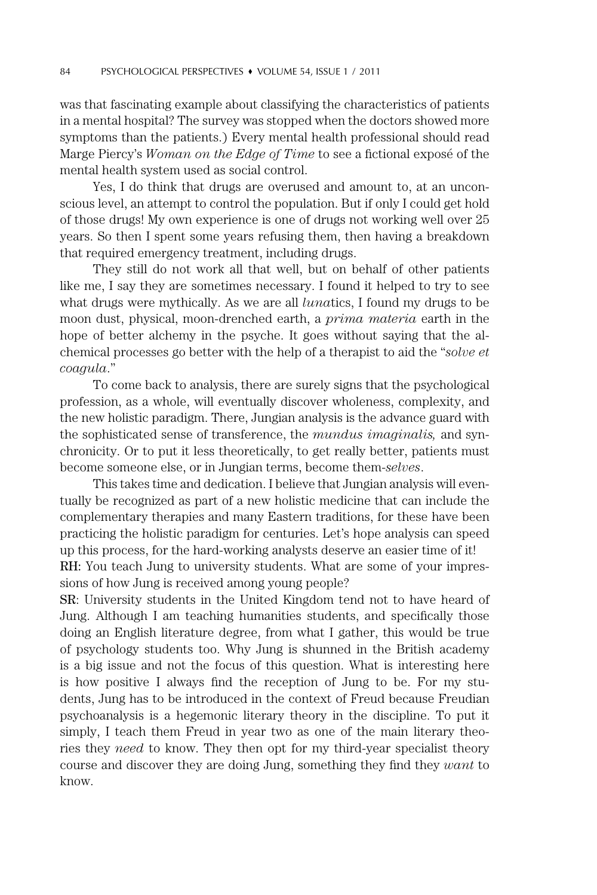was that fascinating example about classifying the characteristics of patients in a mental hospital? The survey was stopped when the doctors showed more symptoms than the patients.) Every mental health professional should read Marge Piercy's *Woman on the Edge of Time* to see a fictional expose of the ´ mental health system used as social control.

Yes, I do think that drugs are overused and amount to, at an unconscious level, an attempt to control the population. But if only I could get hold of those drugs! My own experience is one of drugs not working well over 25 years. So then I spent some years refusing them, then having a breakdown that required emergency treatment, including drugs.

They still do not work all that well, but on behalf of other patients like me, I say they are sometimes necessary. I found it helped to try to see what drugs were mythically. As we are all *luna*tics, I found my drugs to be moon dust, physical, moon-drenched earth, a *prima materia* earth in the hope of better alchemy in the psyche. It goes without saying that the alchemical processes go better with the help of a therapist to aid the "*solve et coagula*."

To come back to analysis, there are surely signs that the psychological profession, as a whole, will eventually discover wholeness, complexity, and the new holistic paradigm. There, Jungian analysis is the advance guard with the sophisticated sense of transference, the *mundus imaginalis,* and synchronicity. Or to put it less theoretically, to get really better, patients must become someone else, or in Jungian terms, become them-*selves*.

This takes time and dedication. I believe that Jungian analysis will eventually be recognized as part of a new holistic medicine that can include the complementary therapies and many Eastern traditions, for these have been practicing the holistic paradigm for centuries. Let's hope analysis can speed up this process, for the hard-working analysts deserve an easier time of it! RH: You teach Jung to university students. What are some of your impres-

sions of how Jung is received among young people?

SR: University students in the United Kingdom tend not to have heard of Jung. Although I am teaching humanities students, and specifically those doing an English literature degree, from what I gather, this would be true of psychology students too. Why Jung is shunned in the British academy is a big issue and not the focus of this question. What is interesting here is how positive I always find the reception of Jung to be. For my students, Jung has to be introduced in the context of Freud because Freudian psychoanalysis is a hegemonic literary theory in the discipline. To put it simply, I teach them Freud in year two as one of the main literary theories they *need* to know. They then opt for my third-year specialist theory course and discover they are doing Jung, something they find they *want* to know.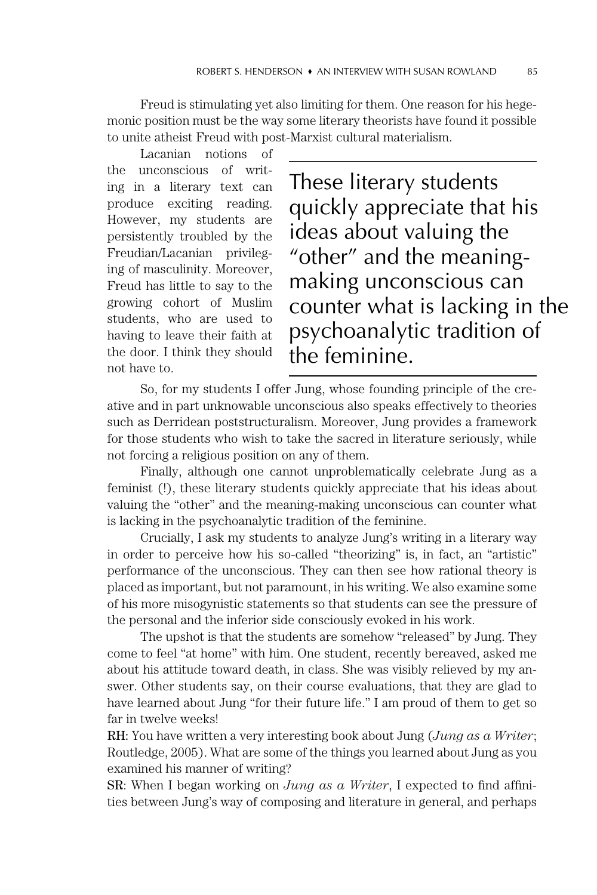Freud is stimulating yet also limiting for them. One reason for his hegemonic position must be the way some literary theorists have found it possible to unite atheist Freud with post-Marxist cultural materialism.

Lacanian notions of the unconscious of writing in a literary text can produce exciting reading. However, my students are persistently troubled by the Freudian/Lacanian privileging of masculinity. Moreover, Freud has little to say to the growing cohort of Muslim students, who are used to having to leave their faith at the door. I think they should not have to.

These literary students quickly appreciate that his ideas about valuing the "other" and the meaningmaking unconscious can counter what is lacking in the psychoanalytic tradition of the feminine.

So, for my students I offer Jung, whose founding principle of the creative and in part unknowable unconscious also speaks effectively to theories such as Derridean poststructuralism. Moreover, Jung provides a framework for those students who wish to take the sacred in literature seriously, while not forcing a religious position on any of them.

Finally, although one cannot unproblematically celebrate Jung as a feminist (!), these literary students quickly appreciate that his ideas about valuing the "other" and the meaning-making unconscious can counter what is lacking in the psychoanalytic tradition of the feminine.

Crucially, I ask my students to analyze Jung's writing in a literary way in order to perceive how his so-called "theorizing" is, in fact, an "artistic" performance of the unconscious. They can then see how rational theory is placed as important, but not paramount, in his writing. We also examine some of his more misogynistic statements so that students can see the pressure of the personal and the inferior side consciously evoked in his work.

The upshot is that the students are somehow "released" by Jung. They come to feel "at home" with him. One student, recently bereaved, asked me about his attitude toward death, in class. She was visibly relieved by my answer. Other students say, on their course evaluations, that they are glad to have learned about Jung "for their future life." I am proud of them to get so far in twelve weeks!

RH: You have written a very interesting book about Jung (*Jung as a Writer*; Routledge, 2005). What are some of the things you learned about Jung as you examined his manner of writing?

SR: When I began working on *Jung as a Writer*, I expected to find affinities between Jung's way of composing and literature in general, and perhaps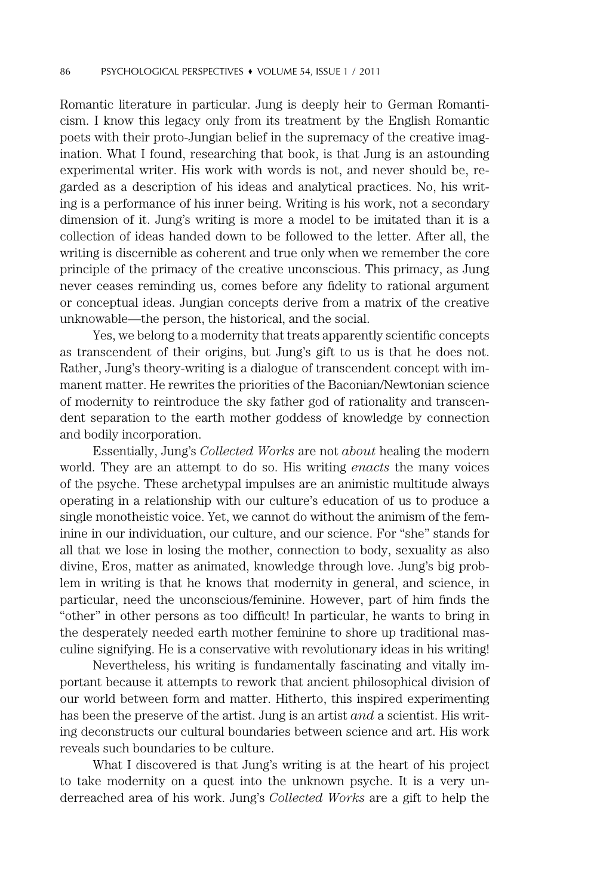Romantic literature in particular. Jung is deeply heir to German Romanticism. I know this legacy only from its treatment by the English Romantic poets with their proto-Jungian belief in the supremacy of the creative imagination. What I found, researching that book, is that Jung is an astounding experimental writer. His work with words is not, and never should be, regarded as a description of his ideas and analytical practices. No, his writing is a performance of his inner being. Writing is his work, not a secondary dimension of it. Jung's writing is more a model to be imitated than it is a collection of ideas handed down to be followed to the letter. After all, the writing is discernible as coherent and true only when we remember the core principle of the primacy of the creative unconscious. This primacy, as Jung never ceases reminding us, comes before any fidelity to rational argument or conceptual ideas. Jungian concepts derive from a matrix of the creative unknowable—the person, the historical, and the social.

Yes, we belong to a modernity that treats apparently scientific concepts as transcendent of their origins, but Jung's gift to us is that he does not. Rather, Jung's theory-writing is a dialogue of transcendent concept with immanent matter. He rewrites the priorities of the Baconian/Newtonian science of modernity to reintroduce the sky father god of rationality and transcendent separation to the earth mother goddess of knowledge by connection and bodily incorporation.

Essentially, Jung's *Collected Works* are not *about* healing the modern world. They are an attempt to do so. His writing *enacts* the many voices of the psyche. These archetypal impulses are an animistic multitude always operating in a relationship with our culture's education of us to produce a single monotheistic voice. Yet, we cannot do without the animism of the feminine in our individuation, our culture, and our science. For "she" stands for all that we lose in losing the mother, connection to body, sexuality as also divine, Eros, matter as animated, knowledge through love. Jung's big problem in writing is that he knows that modernity in general, and science, in particular, need the unconscious/feminine. However, part of him finds the "other" in other persons as too difficult! In particular, he wants to bring in the desperately needed earth mother feminine to shore up traditional masculine signifying. He is a conservative with revolutionary ideas in his writing!

Nevertheless, his writing is fundamentally fascinating and vitally important because it attempts to rework that ancient philosophical division of our world between form and matter. Hitherto, this inspired experimenting has been the preserve of the artist. Jung is an artist *and* a scientist. His writing deconstructs our cultural boundaries between science and art. His work reveals such boundaries to be culture.

What I discovered is that Jung's writing is at the heart of his project to take modernity on a quest into the unknown psyche. It is a very underreached area of his work. Jung's *Collected Works* are a gift to help the